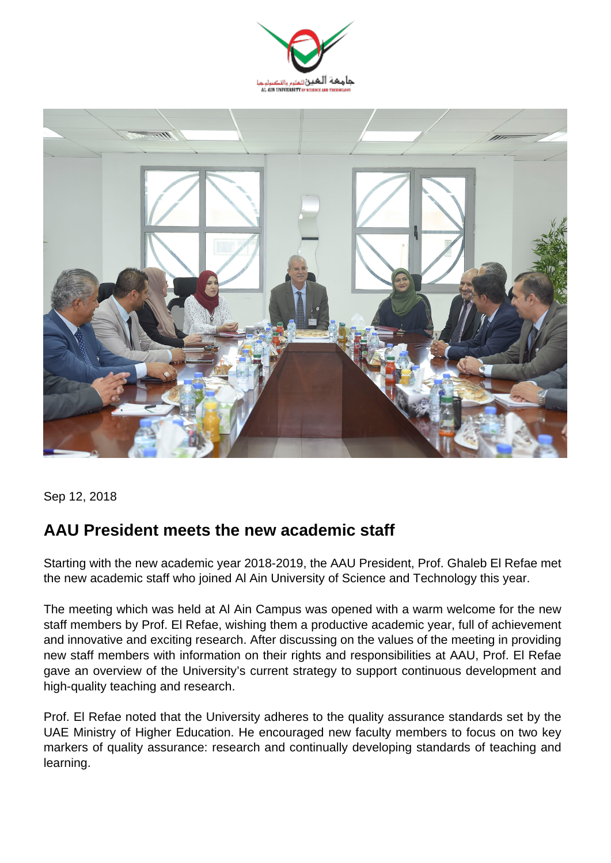



Sep 12, 2018

## **AAU President meets the new academic staff**

Starting with the new academic year 2018-2019, the AAU President, Prof. Ghaleb El Refae met the new academic staff who joined Al Ain University of Science and Technology this year.

The meeting which was held at Al Ain Campus was opened with a warm welcome for the new staff members by Prof. El Refae, wishing them a productive academic year, full of achievement and innovative and exciting research. After discussing on the values of the meeting in providing new staff members with information on their rights and responsibilities at AAU, Prof. El Refae gave an overview of the University's current strategy to support continuous development and high-quality teaching and research.

Prof. El Refae noted that the University adheres to the quality assurance standards set by the UAE Ministry of Higher Education. He encouraged new faculty members to focus on two key markers of quality assurance: research and continually developing standards of teaching and learning.